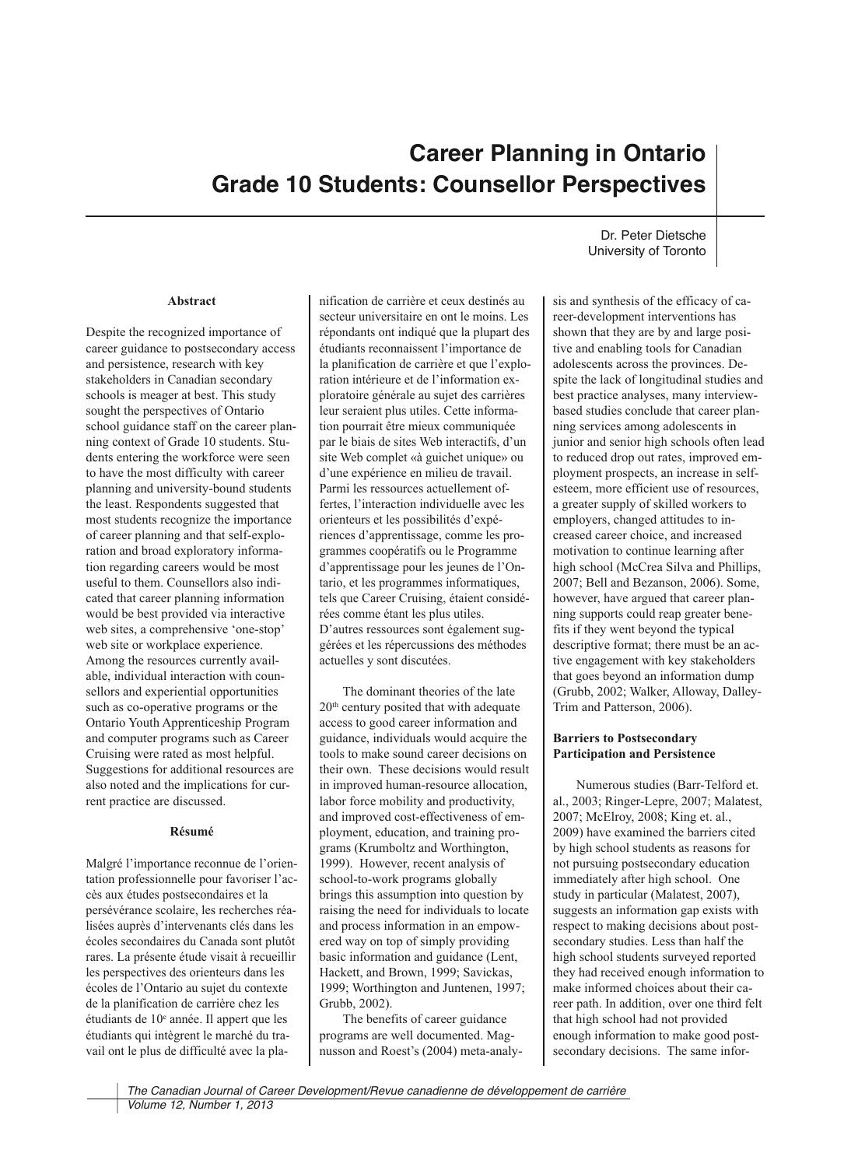# **Career Planning in Ontario Grade 10 Students: Counsellor Perspectives**

# **Abstract**

Despite the recognized importance of career guidance to postsecondary access and persistence, research with key stakeholders in Canadian secondary schools is meager at best. This study sought the perspectives of Ontario school guidance staff on the career planning context of Grade 10 students. Students entering the workforce were seen to have the most difficulty with career planning and university-bound students the least. Respondents suggested that most students recognize the importance of career planning and that self-exploration and broad exploratory information regarding careers would be most useful to them. Counsellors also indicated that career planning information would be best provided via interactive web sites, a comprehensive 'one-stop' web site or workplace experience. Among the resources currently available, individual interaction with counsellors and experiential opportunities such as co-operative programs or the Ontario Youth Apprenticeship Program and computer programs such as Career Cruising were rated as most helpful. Suggestions for additional resources are also noted and the implications for current practice are discussed.

## **Résumé**

Malgré l'importance reconnue de l'orientation professionnelle pour favoriser l'accès aux études postsecondaires et la persévérance scolaire, les recherches réalisées auprès d'intervenants clés dans les écoles secondaires du Canada sont plutôt rares. La présente étude visait à recueillir les perspectives des orienteurs dans les écoles de l'Ontario au sujet du contexte de la planification de carrière chez les étudiants de 10e année. Il appert que les étudiants qui intègrent le marché du travail ont le plus de difficulté avec la pla-

nification de carrière et ceux destinés au secteur universitaire en ont le moins. Les répondants ont indiqué que la plupart des étudiants reconnaissent l'importance de la planification de carrière et que l'exploration intérieure et de l'information exploratoire générale au sujet des carrières leur seraient plus utiles. Cette information pourrait être mieux communiquée par le biais de sites Web interactifs, d'un site Web complet «à guichet unique» ou d'une expérience en milieu de travail. Parmi les ressources actuellement offertes, l'interaction individuelle avec les orienteurs et les possibilités d'expériences d'apprentissage, comme les programmes coopératifs ou le Programme d'apprentissage pour les jeunes de l'Ontario, et les programmes informatiques, tels que Career Cruising, étaient considérées comme étant les plus utiles. D'autres ressources sont également suggérées et les répercussions des méthodes actuelles y sont discutées.

The dominant theories of the late 20th century posited that with adequate access to good career information and guidance, individuals would acquire the tools to make sound career decisions on their own. These decisions would result in improved human-resource allocation, labor force mobility and productivity, and improved cost-effectiveness of employment, education, and training programs (Krumboltz and Worthington, 1999). However, recent analysis of school-to-work programs globally brings this assumption into question by raising the need for individuals to locate and process information in an empowered way on top of simply providing basic information and guidance (Lent, Hackett, and Brown, 1999; Savickas, 1999; Worthington and Juntenen, 1997; Grubb, 2002).

The benefits of career guidance programs are well documented. Magnusson and Roest's (2004) meta-analy-

Dr. Peter Dietsche University of Toronto

sis and synthesis of the efficacy of career-development interventions has shown that they are by and large positive and enabling tools for Canadian adolescents across the provinces. Despite the lack of longitudinal studies and best practice analyses, many interviewbased studies conclude that career planning services among adolescents in junior and senior high schools often lead to reduced drop out rates, improved employment prospects, an increase in selfesteem, more efficient use of resources, a greater supply of skilled workers to employers, changed attitudes to increased career choice, and increased motivation to continue learning after high school (McCrea Silva and Phillips, 2007; Bell and Bezanson, 2006). Some, however, have argued that career planning supports could reap greater benefits if they went beyond the typical descriptive format; there must be an active engagement with key stakeholders that goes beyond an information dump (Grubb, 2002; Walker, Alloway, Dalley-Trim and Patterson, 2006).

# **Barriers to Postsecondary Participation and Persistence**

Numerous studies (Barr-Telford et. al., 2003; Ringer-Lepre, 2007; Malatest, 2007; McElroy, 2008; King et. al., 2009) have examined the barriers cited by high school students as reasons for not pursuing postsecondary education immediately after high school. One study in particular (Malatest, 2007), suggests an information gap exists with respect to making decisions about postsecondary studies. Less than half the high school students surveyed reported they had received enough information to make informed choices about their career path. In addition, over one third felt that high school had not provided enough information to make good postsecondary decisions. The same infor-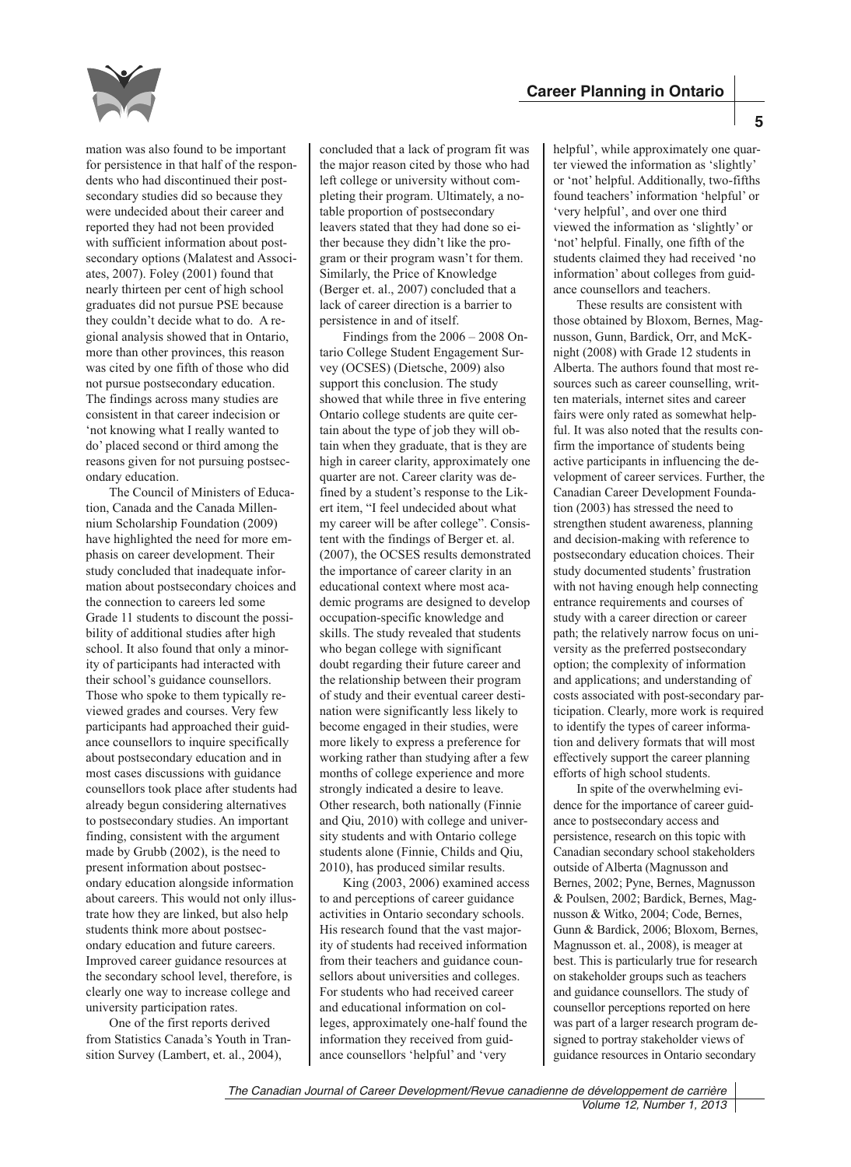

mation was also found to be important for persistence in that half of the respondents who had discontinued their postsecondary studies did so because they were undecided about their career and reported they had not been provided with sufficient information about postsecondary options (Malatest and Associates, 2007). Foley (2001) found that nearly thirteen per cent of high school graduates did not pursue PSE because they couldn't decide what to do. A regional analysis showed that in Ontario, more than other provinces, this reason was cited by one fifth of those who did not pursue postsecondary education. The findings across many studies are consistent in that career indecision or 'not knowing what I really wanted to do' placed second or third among the reasons given for not pursuing postsecondary education.

The Council of Ministers of Education, Canada and the Canada Millennium Scholarship Foundation (2009) have highlighted the need for more emphasis on career development. Their study concluded that inadequate information about postsecondary choices and the connection to careers led some Grade 11 students to discount the possibility of additional studies after high school. It also found that only a minority of participants had interacted with their school's guidance counsellors. Those who spoke to them typically reviewed grades and courses. Very few participants had approached their guidance counsellors to inquire specifically about postsecondary education and in most cases discussions with guidance counsellors took place after students had already begun considering alternatives to postsecondary studies. An important finding, consistent with the argument made by Grubb (2002), is the need to present information about postsecondary education alongside information about careers. This would not only illustrate how they are linked, but also help students think more about postsecondary education and future careers. Improved career guidance resources at the secondary school level, therefore, is clearly one way to increase college and university participation rates.

One of the first reports derived from Statistics Canada's Youth in Transition Survey (Lambert, et. al., 2004),

concluded that a lack of program fit was the major reason cited by those who had left college or university without completing their program. Ultimately, a notable proportion of postsecondary leavers stated that they had done so either because they didn't like the program or their program wasn't for them. Similarly, the Price of Knowledge (Berger et. al., 2007) concluded that a lack of career direction is a barrier to persistence in and of itself.

Findings from the 2006 – 2008 Ontario College Student Engagement Survey (OCSES) (Dietsche, 2009) also support this conclusion. The study showed that while three in five entering Ontario college students are quite certain about the type of job they will obtain when they graduate, that is they are high in career clarity, approximately one quarter are not. Career clarity was defined by a student's response to the Likert item, "I feel undecided about what my career will be after college". Consistent with the findings of Berger et. al. (2007), the OCSES results demonstrated the importance of career clarity in an educational context where most academic programs are designed to develop occupation-specific knowledge and skills. The study revealed that students who began college with significant doubt regarding their future career and the relationship between their program of study and their eventual career destination were significantly less likely to become engaged in their studies, were more likely to express a preference for working rather than studying after a few months of college experience and more strongly indicated a desire to leave. Other research, both nationally (Finnie and Qiu, 2010) with college and university students and with Ontario college students alone (Finnie, Childs and Qiu, 2010), has produced similar results.

King (2003, 2006) examined access to and perceptions of career guidance activities in Ontario secondary schools. His research found that the vast majority of students had received information from their teachers and guidance counsellors about universities and colleges. For students who had received career and educational information on colleges, approximately one-half found the information they received from guidance counsellors 'helpful' and 'very

helpful', while approximately one quarter viewed the information as 'slightly' or 'not' helpful. Additionally, two-fifths found teachers' information 'helpful' or 'very helpful', and over one third viewed the information as 'slightly' or 'not' helpful. Finally, one fifth of the students claimed they had received 'no information' about colleges from guidance counsellors and teachers.

These results are consistent with those obtained by Bloxom, Bernes, Magnusson, Gunn, Bardick, Orr, and McKnight (2008) with Grade 12 students in Alberta. The authors found that most resources such as career counselling, written materials, internet sites and career fairs were only rated as somewhat helpful. It was also noted that the results confirm the importance of students being active participants in influencing the development of career services. Further, the Canadian Career Development Foundation (2003) has stressed the need to strengthen student awareness, planning and decision-making with reference to postsecondary education choices. Their study documented students' frustration with not having enough help connecting entrance requirements and courses of study with a career direction or career path; the relatively narrow focus on university as the preferred postsecondary option; the complexity of information and applications; and understanding of costs associated with post-secondary participation. Clearly, more work is required to identify the types of career information and delivery formats that will most effectively support the career planning efforts of high school students.

In spite of the overwhelming evidence for the importance of career guidance to postsecondary access and persistence, research on this topic with Canadian secondary school stakeholders outside of Alberta (Magnusson and Bernes, 2002; Pyne, Bernes, Magnusson & Poulsen, 2002; Bardick, Bernes, Magnusson & Witko, 2004; Code, Bernes, Gunn & Bardick, 2006; Bloxom, Bernes, Magnusson et. al., 2008), is meager at best. This is particularly true for research on stakeholder groups such as teachers and guidance counsellors. The study of counsellor perceptions reported on here was part of a larger research program designed to portray stakeholder views of guidance resources in Ontario secondary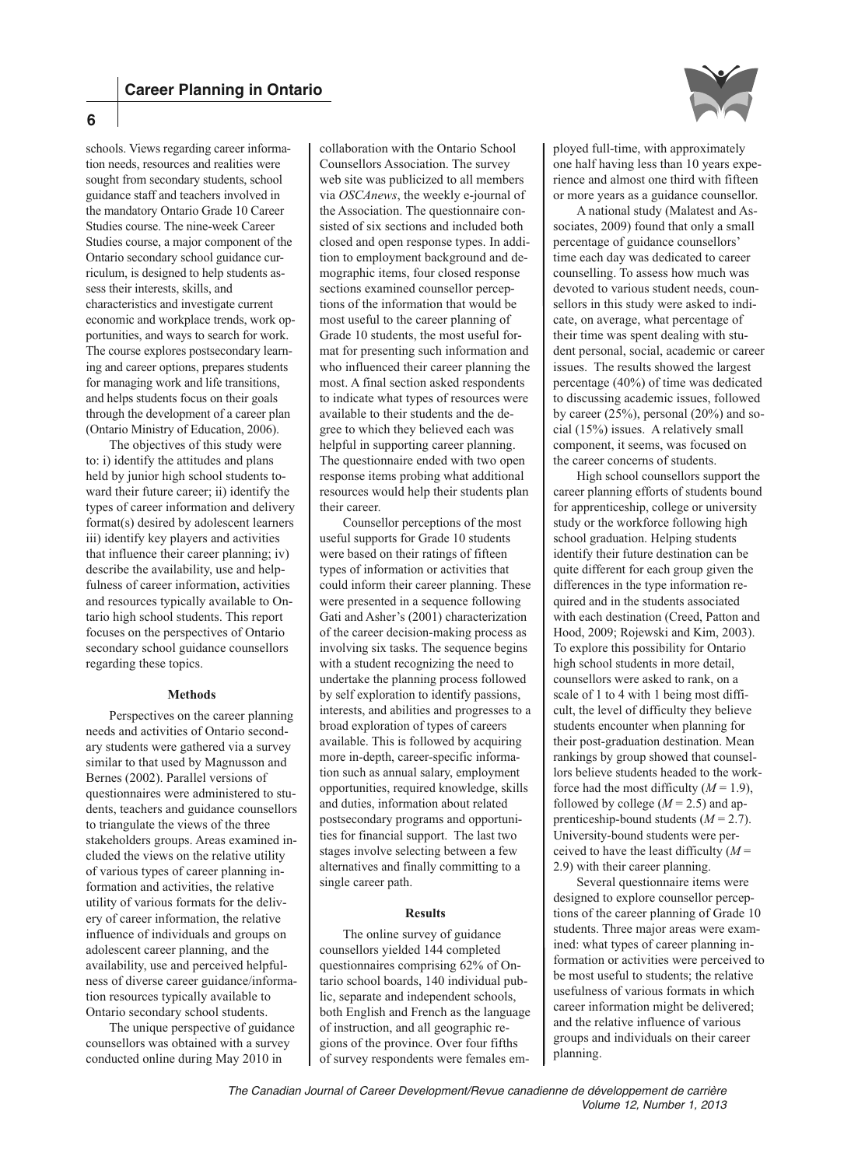

schools. Views regarding career information needs, resources and realities were sought from secondary students, school guidance staff and teachers involved in the mandatory Ontario Grade 10 Career Studies course. The nine-week Career Studies course, a major component of the Ontario secondary school guidance curriculum, is designed to help students assess their interests, skills, and characteristics and investigate current economic and workplace trends, work opportunities, and ways to search for work. The course explores postsecondary learning and career options, prepares students for managing work and life transitions, and helps students focus on their goals through the development of a career plan (Ontario Ministry of Education, 2006).

The objectives of this study were to: i) identify the attitudes and plans held by junior high school students toward their future career; ii) identify the types of career information and delivery format(s) desired by adolescent learners iii) identify key players and activities that influence their career planning; iv) describe the availability, use and helpfulness of career information, activities and resources typically available to Ontario high school students. This report focuses on the perspectives of Ontario secondary school guidance counsellors regarding these topics.

## **Methods**

Perspectives on the career planning needs and activities of Ontario secondary students were gathered via a survey similar to that used by Magnusson and Bernes (2002). Parallel versions of questionnaires were administered to students, teachers and guidance counsellors to triangulate the views of the three stakeholders groups. Areas examined included the views on the relative utility of various types of career planning information and activities, the relative utility of various formats for the delivery of career information, the relative influence of individuals and groups on adolescent career planning, and the availability, use and perceived helpfulness of diverse career guidance/information resources typically available to Ontario secondary school students.

The unique perspective of guidance counsellors was obtained with a survey conducted online during May 2010 in

collaboration with the Ontario School Counsellors Association. The survey web site was publicized to all members via *OSCAnews*, the weekly e-journal of the Association. The questionnaire consisted of six sections and included both closed and open response types. In addition to employment background and demographic items, four closed response sections examined counsellor perceptions of the information that would be most useful to the career planning of Grade 10 students, the most useful format for presenting such information and who influenced their career planning the most. A final section asked respondents to indicate what types of resources were available to their students and the degree to which they believed each was helpful in supporting career planning. The questionnaire ended with two open response items probing what additional resources would help their students plan their career.

Counsellor perceptions of the most useful supports for Grade 10 students were based on their ratings of fifteen types of information or activities that could inform their career planning. These were presented in a sequence following Gati and Asher's (2001) characterization of the career decision-making process as involving six tasks. The sequence begins with a student recognizing the need to undertake the planning process followed by self exploration to identify passions, interests, and abilities and progresses to a broad exploration of types of careers available. This is followed by acquiring more in-depth, career-specific information such as annual salary, employment opportunities, required knowledge, skills and duties, information about related postsecondary programs and opportunities for financial support. The last two stages involve selecting between a few alternatives and finally committing to a single career path.

#### **Results**

The online survey of guidance counsellors yielded 144 completed questionnaires comprising 62% of Ontario school boards, 140 individual public, separate and independent schools, both English and French as the language of instruction, and all geographic regions of the province. Over four fifths of survey respondents were females employed full-time, with approximately one half having less than 10 years experience and almost one third with fifteen or more years as a guidance counsellor.

A national study (Malatest and Associates, 2009) found that only a small percentage of guidance counsellors' time each day was dedicated to career counselling. To assess how much was devoted to various student needs, counsellors in this study were asked to indicate, on average, what percentage of their time was spent dealing with student personal, social, academic or career issues. The results showed the largest percentage (40%) of time was dedicated to discussing academic issues, followed by career (25%), personal (20%) and social (15%) issues. A relatively small component, it seems, was focused on the career concerns of students.

High school counsellors support the career planning efforts of students bound for apprenticeship, college or university study or the workforce following high school graduation. Helping students identify their future destination can be quite different for each group given the differences in the type information required and in the students associated with each destination (Creed, Patton and Hood, 2009; Rojewski and Kim, 2003). To explore this possibility for Ontario high school students in more detail, counsellors were asked to rank, on a scale of 1 to 4 with 1 being most difficult, the level of difficulty they believe students encounter when planning for their post-graduation destination. Mean rankings by group showed that counsellors believe students headed to the workforce had the most difficulty  $(M = 1.9)$ , followed by college  $(M = 2.5)$  and apprenticeship-bound students (*M* = 2.7). University-bound students were perceived to have the least difficulty  $(M =$ 2.9) with their career planning.

Several questionnaire items were designed to explore counsellor perceptions of the career planning of Grade 10 students. Three major areas were examined: what types of career planning information or activities were perceived to be most useful to students; the relative usefulness of various formats in which career information might be delivered; and the relative influence of various groups and individuals on their career planning.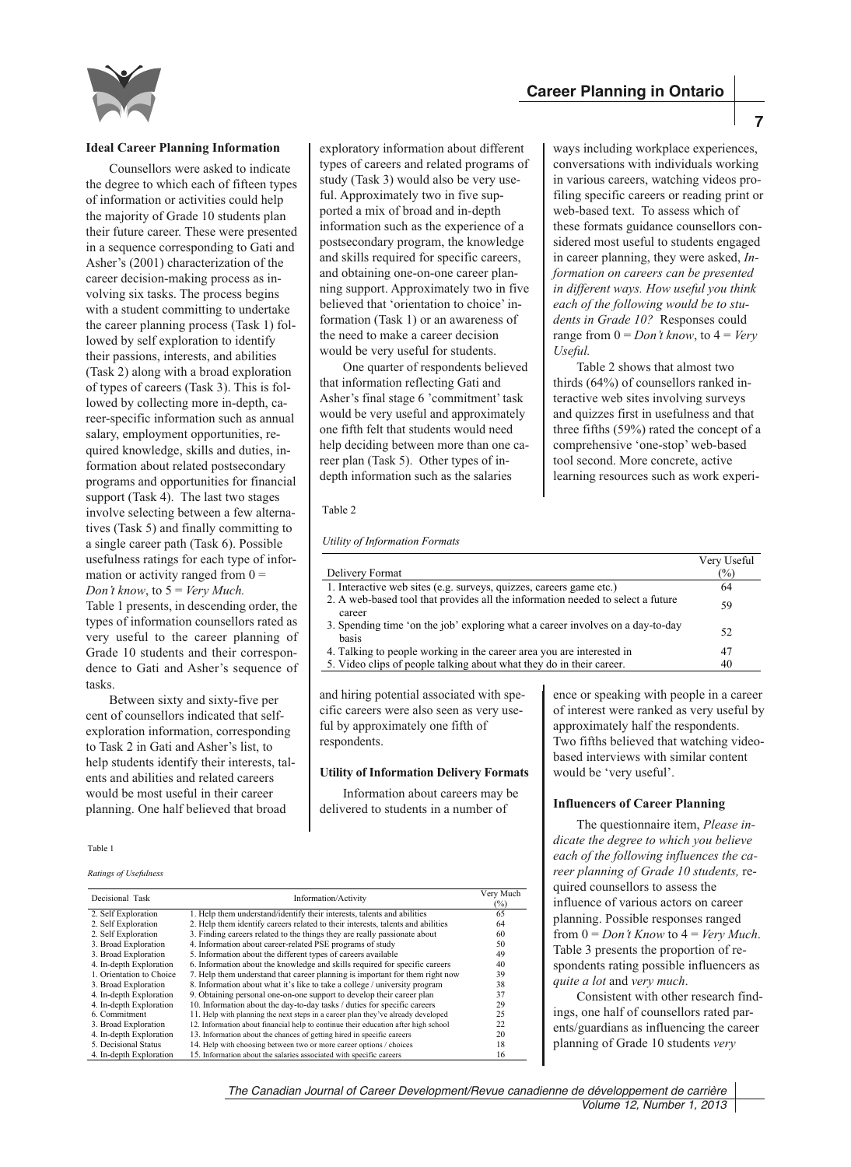ways including workplace experiences, conversations with individuals working in various careers, watching videos profiling specific careers or reading print or web-based text. To assess which of these formats guidance counsellors considered most useful to students engaged in career planning, they were asked, *Information on careers can be presented in different ways. How useful you think each of the following would be to students in Grade 10?* Responses could range from  $0 = Don't know$ , to  $4 = Very$ 

Table 2 shows that almost two thirds (64%) of counsellors ranked interactive web sites involving surveys and quizzes first in usefulness and that three fifths (59%) rated the concept of a comprehensive 'one-stop' web-based tool second. More concrete, active learning resources such as work experi-



#### **Ideal Career Planning Information**

Counsellors were asked to indicate the degree to which each of fifteen types of information or activities could help the majority of Grade 10 students plan their future career. These were presented in a sequence corresponding to Gati and Asher's (2001) characterization of the career decision-making process as involving six tasks. The process begins with a student committing to undertake the career planning process (Task 1) followed by self exploration to identify their passions, interests, and abilities (Task 2) along with a broad exploration of types of careers (Task 3). This is followed by collecting more in-depth, career-specific information such as annual salary, employment opportunities, required knowledge, skills and duties, information about related postsecondary programs and opportunities for financial support (Task 4). The last two stages involve selecting between a few alternatives (Task 5) and finally committing to a single career path (Task 6). Possible usefulness ratings for each type of information or activity ranged from  $0 =$ *Don't know*, to 5 = *Very Much.* Table 1 presents, in descending order, the types of information counsellors rated as very useful to the career planning of Grade 10 students and their correspondence to Gati and Asher's sequence of tasks.

Between sixty and sixty-five per cent of counsellors indicated that selfexploration information, corresponding to Task 2 in Gati and Asher's list, to help students identify their interests, talents and abilities and related careers would be most useful in their career planning. One half believed that broad

Table 1

*Ratings of Usefulness* 

Decisional Task Information/Activity Very Much  $\frac{(96)}{65}$ 2. Self Exploration 2. Help them understand/identify their interests, talents and abilities 65<br>2. Self Exploration 2. Help them identify careers related to their interests, talents and abilities 64 2. Help them identify careers related to their interests, talents and abilities 64<br>Self Exploration 3. Finding careers related to the things they are really passionate about 60 2. Self Exploration 3. Finding careers related to the things they are really passionate about 60<br>Broad Exploration 4. Information about career-related PSE programs of study 50<br>Broad Exploration 5. Information about the dif 4. Information about career-related PSE programs of study 3. Broad Exploration 5. Information about the different types of careers available 49 4. In-depth Exploration 6. Information about the knowledge and skills required for specific careers 40 1. Orientation to Choice 7. Help them understand that career planning is important for them right now 39 3. Broad Exploration 8. Information about what it's like to take a college / university program 38 1. Orientation to Choice 7. Help them understand that career planning is important for them right now<br>
3. Broad Exploration 8. Information about what it's like to take a college / university program<br>
4. In-depth Exploratio 4. In-depth Exploration 10. Information about the day-to-day tasks / duties for specific careers 6. Commitment 11. Help with planning the next steps in a career plan they've already develoc 11. Help with planning the next steps in a career plan they've already developed 3. Broad Exploration 12. Information about financial help to continue their education after high school 22<br>4. In-depth Exploration 13. Information about the chances of getting hired in specific careers 20 4. In-depth Exploration 13. Information about the chances of getting hired in specific careers 20<br>5. Decisional Status 14. Help with choosing between two or more career options / choices 18 14. Help with choosing between two or more career options / choices 4. In-depth Exploration 15. Information about the salaries associated with specific careers 16

exploratory information about different types of careers and related programs of study (Task 3) would also be very useful. Approximately two in five supported a mix of broad and in-depth information such as the experience of a postsecondary program, the knowledge and skills required for specific careers, and obtaining one-on-one career planning support. Approximately two in five believed that 'orientation to choice' information (Task 1) or an awareness of the need to make a career decision would be very useful for students.

One quarter of respondents believed that information reflecting Gati and Asher's final stage 6 'commitment' task would be very useful and approximately one fifth felt that students would need help deciding between more than one career plan (Task 5). Other types of indepth information such as the salaries

Table 2

*Utility of Information Formats* 

|                                                                                           | Very Useful   |
|-------------------------------------------------------------------------------------------|---------------|
| Delivery Format                                                                           | $\frac{1}{2}$ |
| 1. Interactive web sites (e.g. surveys, quizzes, careers game etc.)                       | 64            |
| 2. A web-based tool that provides all the information needed to select a future<br>career | 59            |
| 3. Spending time 'on the job' exploring what a career involves on a day-to-day<br>basis   | 52            |
| 4. Talking to people working in the career area you are interested in                     | 47            |
| 5. Video clips of people talking about what they do in their career.                      | 40            |

*Useful.*

and hiring potential associated with specific careers were also seen as very use ful by approximately one fifth of respondents. 

#### **Utility of Information Delivery Formats**

Information about careers may be delivered to students in a number of

ence or speaking with people in a career of interest were ranked as very useful by approximately half the respondents. Two fifths believed that watching videobased interviews with similar content would be 'very useful'.

#### **Influencers of Career Planning**

The questionnaire item, *Please indicate the degree to which you believe each of the following influences the career planning of Grade 10 students,* required counsellors to assess the influence of various actors on career planning. Possible responses ranged from  $0 = Don't Know$  to  $4 = Very Much$ . Table 3 presents the proportion of respondents rating possible influencers as *quite a lot* and *very much*.

Consistent with other research findings, one half of counsellors rated parents/guardians as influencing the career planning of Grade 10 students *very*

**7**

*The Canadian Journal of Career Development/Revue canadienne de développement de carrière Volume 12, Number 1, 2013*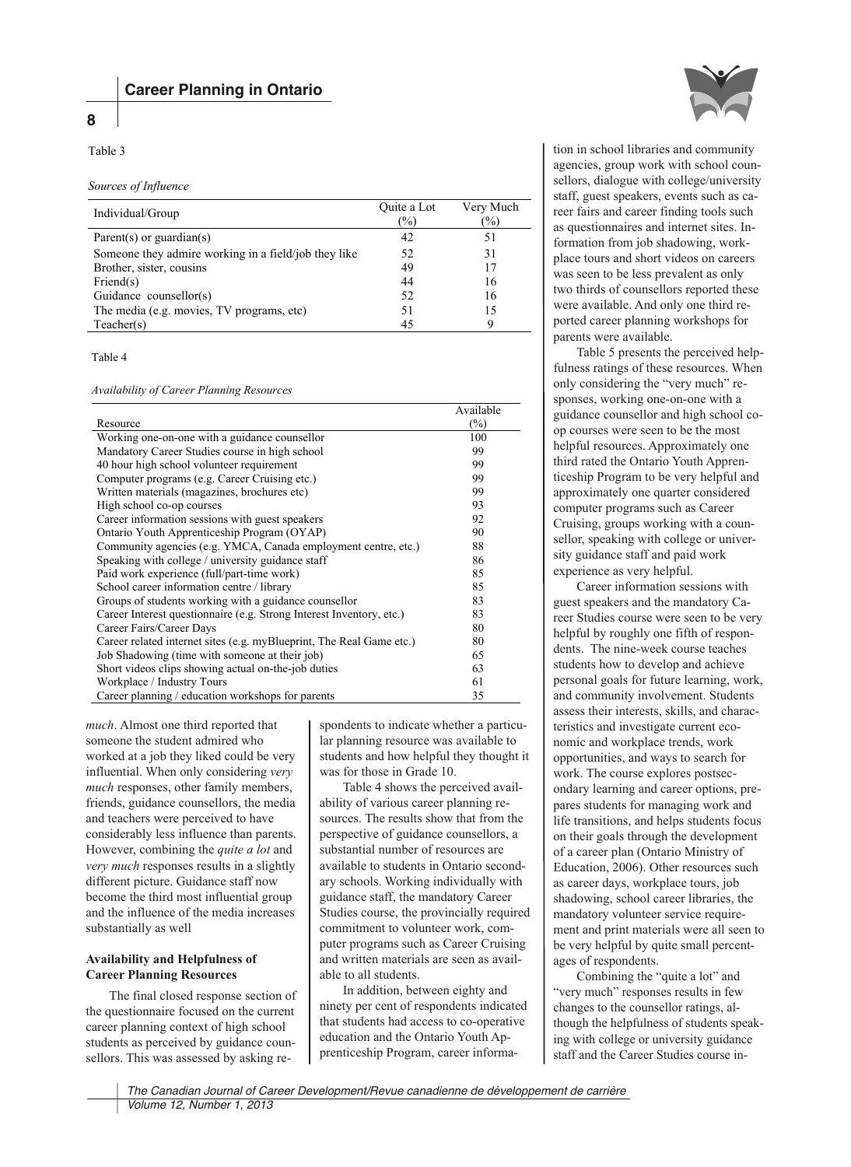# **8**

## Table 3

## *Sources of Influence*

| Individual/Group                                     | Quite a Lot<br>$(\%)$ | Very Much<br>(%) |
|------------------------------------------------------|-----------------------|------------------|
| Parent(s) or guardian(s)                             | 42                    | 51               |
| Someone they admire working in a field/job they like | 52                    | 31               |
| Brother, sister, cousins                             | 49                    | 17               |
| $\text{Friend}(s)$                                   | 44                    | 16               |
| Guidance counsellor(s)                               | 52                    | 16               |
| The media (e.g. movies, TV programs, etc)            | 51                    | 15               |
| Teacher(s)                                           | 45                    | 9                |

Table 4

## *Availability of Career Planning Resources*

|                                                                      | Available |
|----------------------------------------------------------------------|-----------|
| Resource                                                             | $(\%)$    |
| Working one-on-one with a guidance counsellor                        | 100       |
| Mandatory Career Studies course in high school                       | 99        |
| 40 hour high school volunteer requirement                            | 99        |
| Computer programs (e.g. Career Cruising etc.)                        | 99        |
| Written materials (magazines, brochures etc)                         | 99        |
| High school co-op courses                                            | 93        |
| Career information sessions with guest speakers                      | 92        |
| Ontario Youth Apprenticeship Program (OYAP)                          | 90        |
| Community agencies (e.g. YMCA, Canada employment centre, etc.)       | 88        |
| Speaking with college / university guidance staff                    | 86        |
| Paid work experience (full/part-time work)                           | 85        |
| School career information centre / library                           | 85        |
| Groups of students working with a guidance counsellor                | 83        |
| Career Interest questionnaire (e.g. Strong Interest Inventory, etc.) | 83        |
| Career Fairs/Career Days                                             | 80        |
| Career related internet sites (e.g. myBlueprint, The Real Game etc.) | 80        |
| Job Shadowing (time with someone at their job)                       | 65        |
| Short videos clips showing actual on-the-job duties                  | 63        |
| Workplace / Industry Tours                                           | 61        |
| Career planning / education workshops for parents                    | 35        |

*much*. Almost one third reported that someone the student admired who worked at a job they liked could be very influential. When only considering *very much* responses, other family members, friends, guidance counsellors, the media and teachers were perceived to have considerably less influence than parents. However, combining the *quite a lot* and *very much* responses results in a slightly different picture. Guidance staff now become the third most influential group and the influence of the media increases substantially as well

# **Availability and Helpfulness of Career Planning Resources**

The final closed response section of the questionnaire focused on the current career planning context of high school students as perceived by guidance counsellors. This was assessed by asking re-

spondents to indicate whether a particular planning resource was available to students and how helpful they thought it was for those in Grade 10.

Table 4 shows the perceived availability of various career planning resources. The results show that from the perspective of guidance counsellors, a substantial number of resources are available to students in Ontario secondary schools. Working individually with guidance staff, the mandatory Career Studies course, the provincially required commitment to volunteer work, computer programs such as Career Cruising and written materials are seen as available to all students.

In addition, between eighty and ninety per cent of respondents indicated that students had access to co-operative education and the Ontario Youth Apprenticeship Program, career informa-



tion in school libraries and community agencies, group work with school counsellors, dialogue with college/university staff, guest speakers, events such as career fairs and career finding tools such as questionnaires and internet sites. Information from job shadowing, workplace tours and short videos on careers was seen to be less prevalent as only two thirds of counsellors reported these were available. And only one third reported career planning workshops for parents were available.

Table 5 presents the perceived helpfulness ratings of these resources. When only considering the "very much" responses, working one-on-one with a guidance counsellor and high school coop courses were seen to be the most helpful resources. Approximately one third rated the Ontario Youth Apprenticeship Program to be very helpful and approximately one quarter considered computer programs such as Career Cruising, groups working with a counsellor, speaking with college or university guidance staff and paid work experience as very helpful.

Career information sessions with guest speakers and the mandatory Career Studies course were seen to be very helpful by roughly one fifth of respondents. The nine-week course teaches students how to develop and achieve personal goals for future learning, work, and community involvement. Students assess their interests, skills, and characteristics and investigate current economic and workplace trends, work opportunities, and ways to search for work. The course explores postsecondary learning and career options, prepares students for managing work and life transitions, and helps students focus on their goals through the development of a career plan (Ontario Ministry of Education, 2006). Other resources such as career days, workplace tours, job shadowing, school career libraries, the mandatory volunteer service requirement and print materials were all seen to be very helpful by quite small percentages of respondents.

Combining the "quite a lot" and "very much" responses results in few changes to the counsellor ratings, although the helpfulness of students speaking with college or university guidance staff and the Career Studies course in-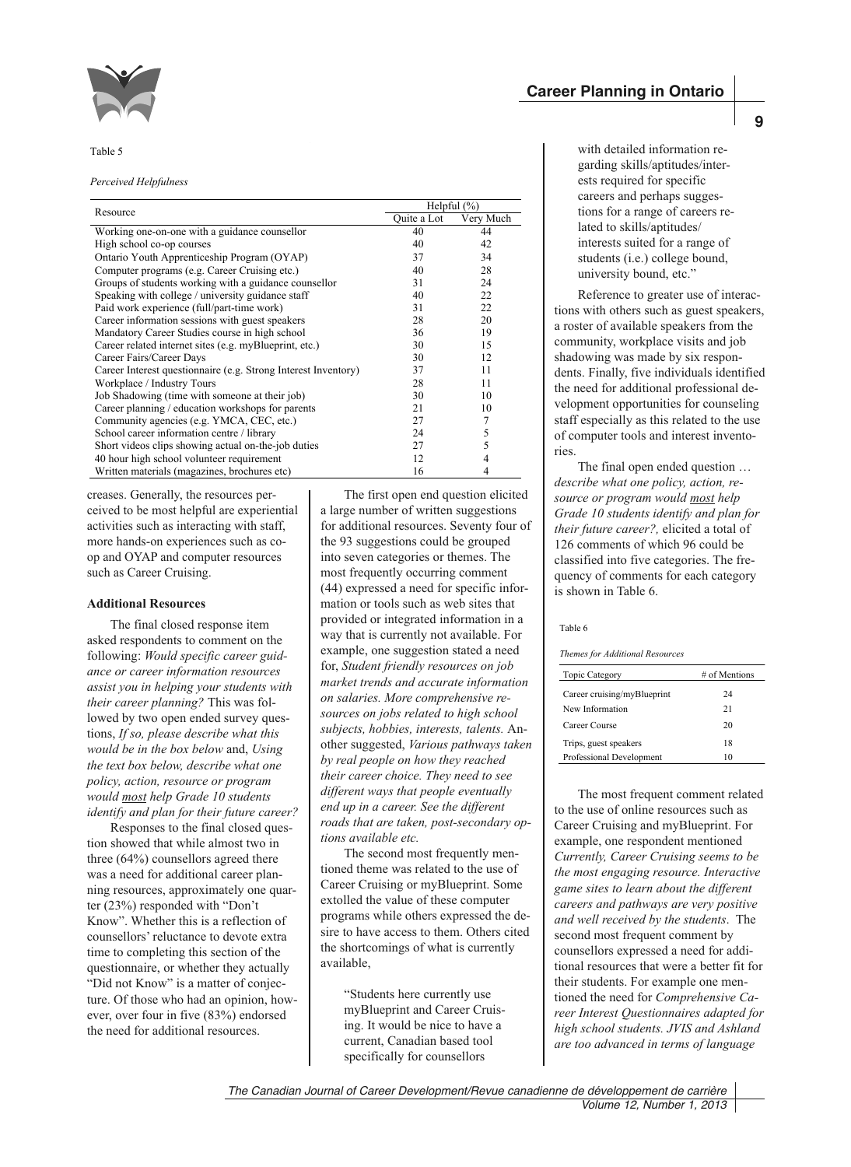

#### Table 5

#### *Perceived Helpfulness*

|                                                                | Helpful $(\% )$ |           |
|----------------------------------------------------------------|-----------------|-----------|
| Resource                                                       | Ouite a Lot     | Very Much |
| Working one-on-one with a guidance counsellor                  | 40              | 44        |
| High school co-op courses                                      | 40              | 42        |
| Ontario Youth Apprenticeship Program (OYAP)                    | 37              | 34        |
| Computer programs (e.g. Career Cruising etc.)                  | 40              | 28        |
| Groups of students working with a guidance counsellor          | 31              | 24        |
| Speaking with college / university guidance staff              | 40              | 22        |
| Paid work experience (full/part-time work)                     | 31              | 22        |
| Career information sessions with guest speakers                | 28              | 20        |
| Mandatory Career Studies course in high school                 | 36              | 19        |
| Career related internet sites (e.g. myBlueprint, etc.)         | 30              | 15        |
| Career Fairs/Career Days                                       | 30              | 12        |
| Career Interest questionnaire (e.g. Strong Interest Inventory) | 37              | 11        |
| Workplace / Industry Tours                                     | 28              | 11        |
| Job Shadowing (time with someone at their job)                 | 30              | 10        |
| Career planning / education workshops for parents              | 21              | 10        |
| Community agencies (e.g. YMCA, CEC, etc.)                      | 27              | 7         |
| School career information centre / library                     | 24              | 5         |
| Short videos clips showing actual on-the-job duties            | 27              | 5         |
| 40 hour high school volunteer requirement                      | 12              | 4         |
| Written materials (magazines, brochures etc)                   | 16              | 4         |

creases. Generally, the resources per ceived to be most helpful are experiential activities such as interacting with staff,  more hands-on experiences such as coop and OYAP and computer resources such as Career Cruising.

## **Additional Resources**

The final closed response item asked respondents to comment on the following: *Would specific career guidance or career information resources assist you in helping your students with their career planning?* This was followed by two open ended survey questions, *If so, please describe what this would be in the box below* and, *Using the text box below, describe what one policy, action, resource or program would most help Grade 10 students identify and plan for their future career?*

Responses to the final closed question showed that while almost two in three (64%) counsellors agreed there was a need for additional career planning resources, approximately one quarter (23%) responded with "Don't Know". Whether this is a reflection of counsellors' reluctance to devote extra time to completing this section of the questionnaire, or whether they actually "Did not Know" is a matter of conjecture. Of those who had an opinion, however, over four in five (83%) endorsed the need for additional resources.

The first open end question elicited a large number of written suggestions for additional resources. Seventy four of the 93 suggestions could be grouped into seven categories or themes. The most frequently occurring comment (44) expressed a need for specific information or tools such as web sites that provided or integrated information in a way that is currently not available. For example, one suggestion stated a need for, *Student friendly resources on job market trends and accurate information on salaries. More comprehensive resources on jobs related to high school subjects, hobbies, interests, talents.* Another suggested, *Various pathways taken by real people on how they reached their career choice. They need to see different ways that people eventually end up in a career. See the different roads that are taken, post-secondary options available etc.*

The second most frequently mentioned theme was related to the use of Career Cruising or myBlueprint. Some extolled the value of these computer programs while others expressed the desire to have access to them. Others cited the shortcomings of what is currently available,

> "Students here currently use myBlueprint and Career Cruising. It would be nice to have a current, Canadian based tool specifically for counsellors

**9**

with detailed information regarding skills/aptitudes/interests required for specific careers and perhaps suggestions for a range of careers related to skills/aptitudes/ interests suited for a range of students (i.e.) college bound, university bound, etc."

Reference to greater use of interactions with others such as guest speakers, a roster of available speakers from the community, workplace visits and job shadowing was made by six respon dents. Finally, five individuals identified the need for additional professional development opportunities for counseling staff especially as this related to the use of computer tools and interest inventories.

The final open ended question … *describe what one policy, action, resource or program would most help Grade 10 students identify and plan for their future career?,* elicited a total of 126 comments of which 96 could be classified into five categories. The frequency of comments for each category is shown in Table 6.

#### Table 6

#### *Themes for Additional Resources*

| Topic Category              | # of Mentions |  |
|-----------------------------|---------------|--|
| Career cruising/myBlueprint | 24            |  |
| New Information             | 21            |  |
| Career Course               | 20            |  |
| Trips, guest speakers       | 18            |  |
| Professional Development    | 10            |  |
|                             |               |  |

The most frequent comment related to the use of online resources such as Career Cruising and myBlueprint. For example, one respondent mentioned *Currently, Career Cruising seems to be the most engaging resource. Interactive game sites to learn about the different careers and pathways are very positive and well received by the students*. The second most frequent comment by counsellors expressed a need for additional resources that were a better fit for their students. For example one mentioned the need for *Comprehensive Career Interest Questionnaires adapted for high school students. JVIS and Ashland are too advanced in terms of language*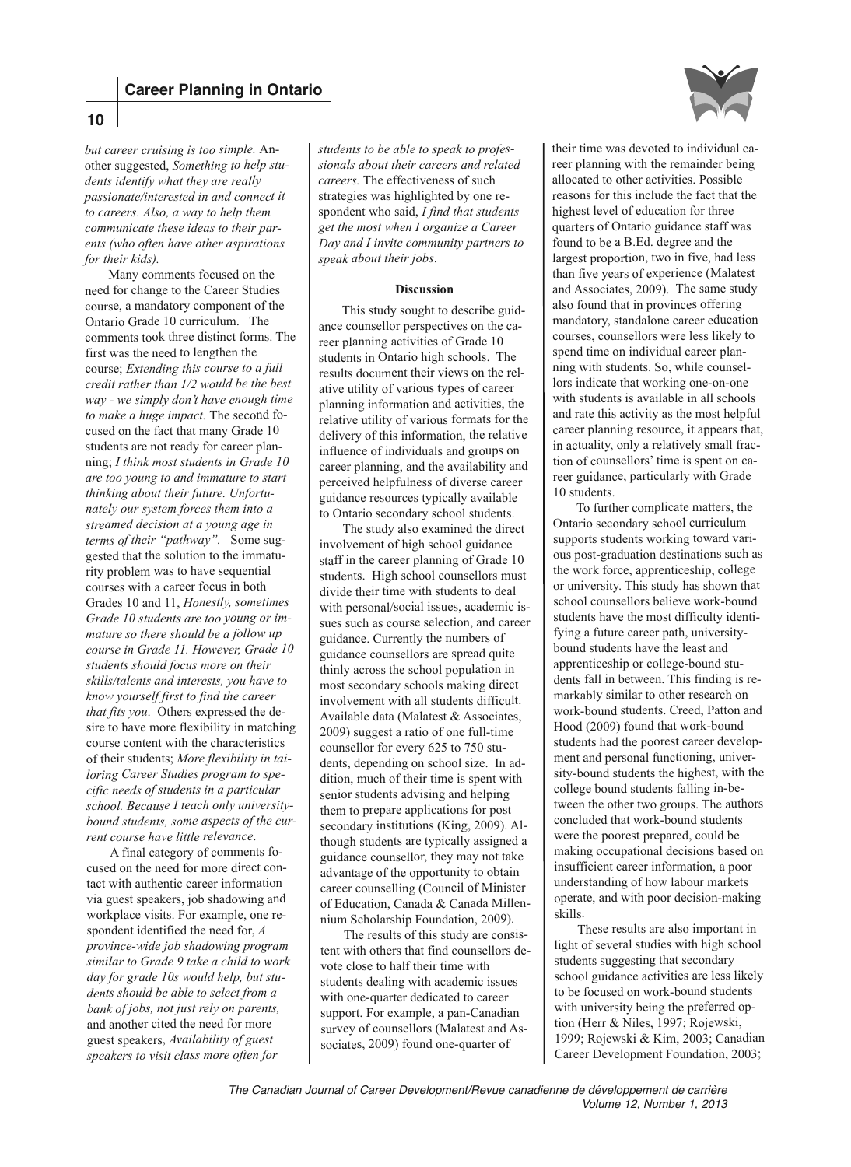

*but career cruising is too simple.* Another suggested, *Something to help students identify what they are really passionate/interested in and connect it to careers. Also, a way to help them communicate these ideas to their parents (who often have other aspirations for their kids).*

Many comments focused on the need for change to the Career Studies course, a mandatory component of the Ontario Grade 10 curriculum. The comments took three distinct forms. The first was the need to lengthen the course; *Extending this course to a full credit rather than 1/2 would be the best way - we simply don't have enough time to make a huge impact.* The second focused on the fact that many Grade 10 students are not ready for career planning; *I think most students in Grade 10 are too young to and immature to start thinking about their future. Unfortunately our system forces them into a streamed decision at a young age in terms of their "pathway".* Some suggested that the solution to the immaturity problem was to have sequential courses with a career focus in both Grades 10 and 11, *Honestly, sometimes Grade 10 students are too young or immature so there should be a follow up course in Grade 11. However, Grade 10 students should focus more on their skills/talents and interests, you have to know yourself first to find the career that fits you*. Others expressed the desire to have more flexibility in matching course content with the characteristics of their students; *More flexibility in tailoring Career Studies program to specific needs of students in a particular school. Because I teach only universitybound students, some aspects of the current course have little relevance*.

A final category of comments focused on the need for more direct contact with authentic career information via guest speakers, job shadowing and workplace visits. For example, one respondent identified the need for, *A province-wide job shadowing program similar to Grade 9 take a child to work day for grade 10s would help, but students should be able to select from a bank of jobs, not just rely on parents,* and another cited the need for more guest speakers, *Availability of guest speakers to visit class more often for*

*students to be able to speak to professionals about their careers and related careers.* The effectiveness of such strategies was highlighted by one respondent who said, *I find that students get the most when I organize a Career Day and I invite community partners to speak about their jobs*.

# **Discussion**

This study sought to describe guidance counsellor perspectives on the career planning activities of Grade 10 students in Ontario high schools. The results document their views on the relative utility of various types of career planning information and activities, the relative utility of various formats for the delivery of this information, the relative influence of individuals and groups on career planning, and the availability and perceived helpfulness of diverse career guidance resources typically available to Ontario secondary school students.

The study also examined the direct involvement of high school guidance staff in the career planning of Grade 10 students. High school counsellors must divide their time with students to deal with personal/social issues, academic issues such as course selection, and career guidance. Currently the numbers of guidance counsellors are spread quite thinly across the school population in most secondary schools making direct involvement with all students difficult. Available data (Malatest & Associates, 2009) suggest a ratio of one full-time counsellor for every 625 to 750 students, depending on school size. In addition, much of their time is spent with senior students advising and helping them to prepare applications for post secondary institutions (King, 2009). Although students are typically assigned a guidance counsellor, they may not take advantage of the opportunity to obtain career counselling (Council of Minister of Education, Canada & Canada Millennium Scholarship Foundation, 2009).

The results of this study are consistent with others that find counsellors devote close to half their time with students dealing with academic issues with one-quarter dedicated to career support. For example, a pan-Canadian survey of counsellors (Malatest and Associates, 2009) found one-quarter of

their time was devoted to individual career planning with the remainder being allocated to other activities. Possible reasons for this include the fact that the highest level of education for three quarters of Ontario guidance staff was found to be a B.Ed. degree and the largest proportion, two in five, had less than five years of experience (Malatest and Associates, 2009). The same study also found that in provinces offering mandatory, standalone career education courses, counsellors were less likely to spend time on individual career planning with students. So, while counsellors indicate that working one-on-one with students is available in all schools and rate this activity as the most helpful career planning resource, it appears that, in actuality, only a relatively small fraction of counsellors' time is spent on career guidance, particularly with Grade 10 students.

To further complicate matters, the Ontario secondary school curriculum supports students working toward various post-graduation destinations such as the work force, apprenticeship, college or university. This study has shown that school counsellors believe work-bound students have the most difficulty identifying a future career path, universitybound students have the least and apprenticeship or college-bound students fall in between. This finding is remarkably similar to other research on work-bound students. Creed, Patton and Hood (2009) found that work-bound students had the poorest career development and personal functioning, university-bound students the highest, with the college bound students falling in-between the other two groups. The authors concluded that work-bound students were the poorest prepared, could be making occupational decisions based on insufficient career information, a poor understanding of how labour markets operate, and with poor decision-making skills.

These results are also important in light of several studies with high school students suggesting that secondary school guidance activities are less likely to be focused on work-bound students with university being the preferred option (Herr & Niles, 1997; Rojewski, 1999; Rojewski & Kim, 2003; Canadian Career Development Foundation, 2003;

# **10**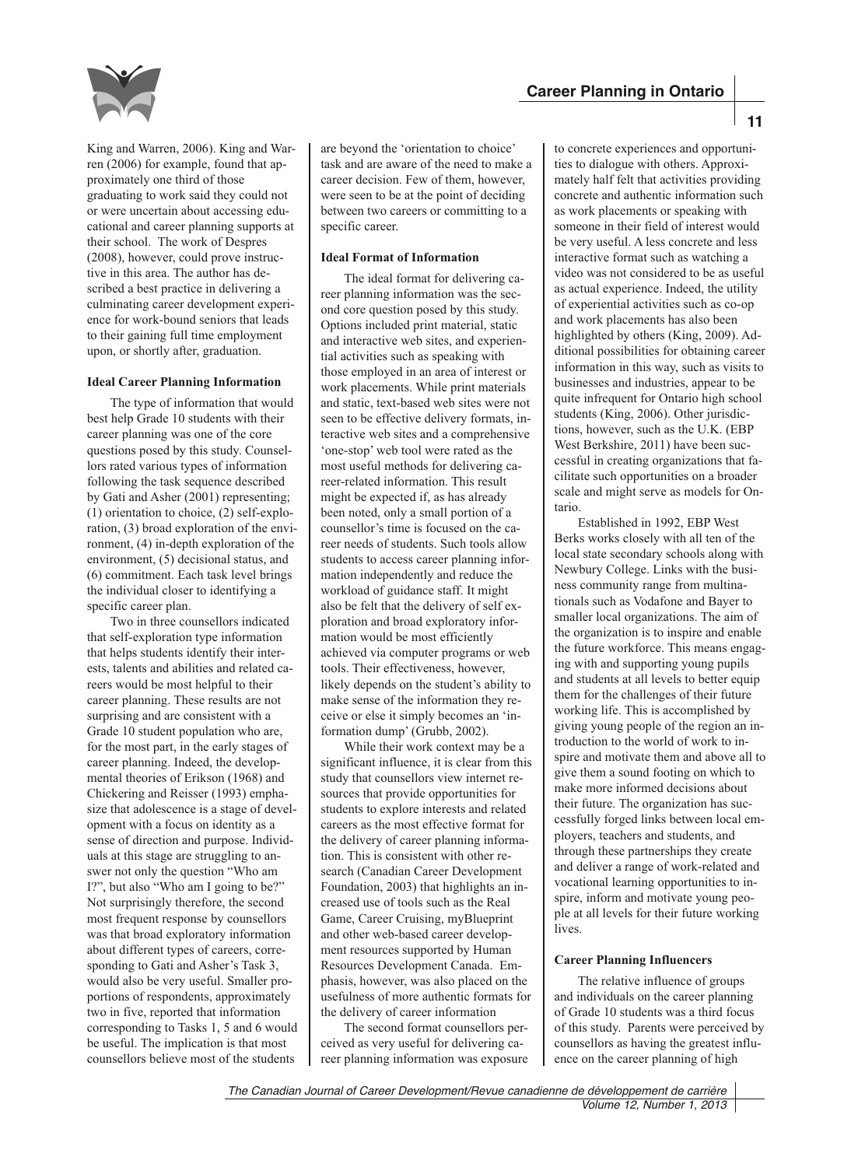



King and Warren, 2006). King and Warren (2006) for example, found that approximately one third of those graduating to work said they could not or were uncertain about accessing educational and career planning supports at their school. The work of Despres (2008), however, could prove instructive in this area. The author has described a best practice in delivering a culminating career development experience for work-bound seniors that leads to their gaining full time employment upon, or shortly after, graduation.

# **Ideal Career Planning Information**

The type of information that would best help Grade 10 students with their career planning was one of the core questions posed by this study. Counsellors rated various types of information following the task sequence described by Gati and Asher (2001) representing; (1) orientation to choice, (2) self-exploration, (3) broad exploration of the environment, (4) in-depth exploration of the environment, (5) decisional status, and (6) commitment. Each task level brings the individual closer to identifying a specific career plan.

Two in three counsellors indicated that self-exploration type information that helps students identify their interests, talents and abilities and related careers would be most helpful to their career planning. These results are not surprising and are consistent with a Grade 10 student population who are, for the most part, in the early stages of career planning. Indeed, the developmental theories of Erikson (1968) and Chickering and Reisser (1993) emphasize that adolescence is a stage of development with a focus on identity as a sense of direction and purpose. Individuals at this stage are struggling to answer not only the question "Who am I?", but also "Who am I going to be?" Not surprisingly therefore, the second most frequent response by counsellors was that broad exploratory information about different types of careers, corresponding to Gati and Asher's Task 3, would also be very useful. Smaller proportions of respondents, approximately two in five, reported that information corresponding to Tasks 1, 5 and 6 would be useful. The implication is that most counsellors believe most of the students

are beyond the 'orientation to choice' task and are aware of the need to make a career decision. Few of them, however, were seen to be at the point of deciding between two careers or committing to a specific career.

## **Ideal Format of Information**

The ideal format for delivering career planning information was the second core question posed by this study. Options included print material, static and interactive web sites, and experiential activities such as speaking with those employed in an area of interest or work placements. While print materials and static, text-based web sites were not seen to be effective delivery formats, interactive web sites and a comprehensive 'one-stop' web tool were rated as the most useful methods for delivering career-related information. This result might be expected if, as has already been noted, only a small portion of a counsellor's time is focused on the career needs of students. Such tools allow students to access career planning information independently and reduce the workload of guidance staff. It might also be felt that the delivery of self exploration and broad exploratory information would be most efficiently achieved via computer programs or web tools. Their effectiveness, however, likely depends on the student's ability to make sense of the information they receive or else it simply becomes an 'information dump' (Grubb, 2002).

While their work context may be a significant influence, it is clear from this study that counsellors view internet resources that provide opportunities for students to explore interests and related careers as the most effective format for the delivery of career planning information. This is consistent with other research (Canadian Career Development Foundation, 2003) that highlights an increased use of tools such as the Real Game, Career Cruising, myBlueprint and other web-based career development resources supported by Human Resources Development Canada. Emphasis, however, was also placed on the usefulness of more authentic formats for the delivery of career information

The second format counsellors perceived as very useful for delivering career planning information was exposure to concrete experiences and opportunities to dialogue with others. Approximately half felt that activities providing concrete and authentic information such as work placements or speaking with someone in their field of interest would be very useful. A less concrete and less interactive format such as watching a video was not considered to be as useful as actual experience. Indeed, the utility of experiential activities such as co-op and work placements has also been highlighted by others (King, 2009). Additional possibilities for obtaining career information in this way, such as visits to businesses and industries, appear to be quite infrequent for Ontario high school students (King, 2006). Other jurisdictions, however, such as the U.K. (EBP West Berkshire, 2011) have been successful in creating organizations that facilitate such opportunities on a broader scale and might serve as models for Ontario.

**Career Planning in Ontario**

Established in 1992, EBP West Berks works closely with all ten of the local state secondary schools along with Newbury College. Links with the business community range from multinationals such as Vodafone and Bayer to smaller local organizations. The aim of the organization is to inspire and enable the future workforce. This means engaging with and supporting young pupils and students at all levels to better equip them for the challenges of their future working life. This is accomplished by giving young people of the region an introduction to the world of work to inspire and motivate them and above all to give them a sound footing on which to make more informed decisions about their future. The organization has successfully forged links between local employers, teachers and students, and through these partnerships they create and deliver a range of work-related and vocational learning opportunities to inspire, inform and motivate young people at all levels for their future working lives.

# **Career Planning Influencers**

The relative influence of groups and individuals on the career planning of Grade 10 students was a third focus of this study. Parents were perceived by counsellors as having the greatest influence on the career planning of high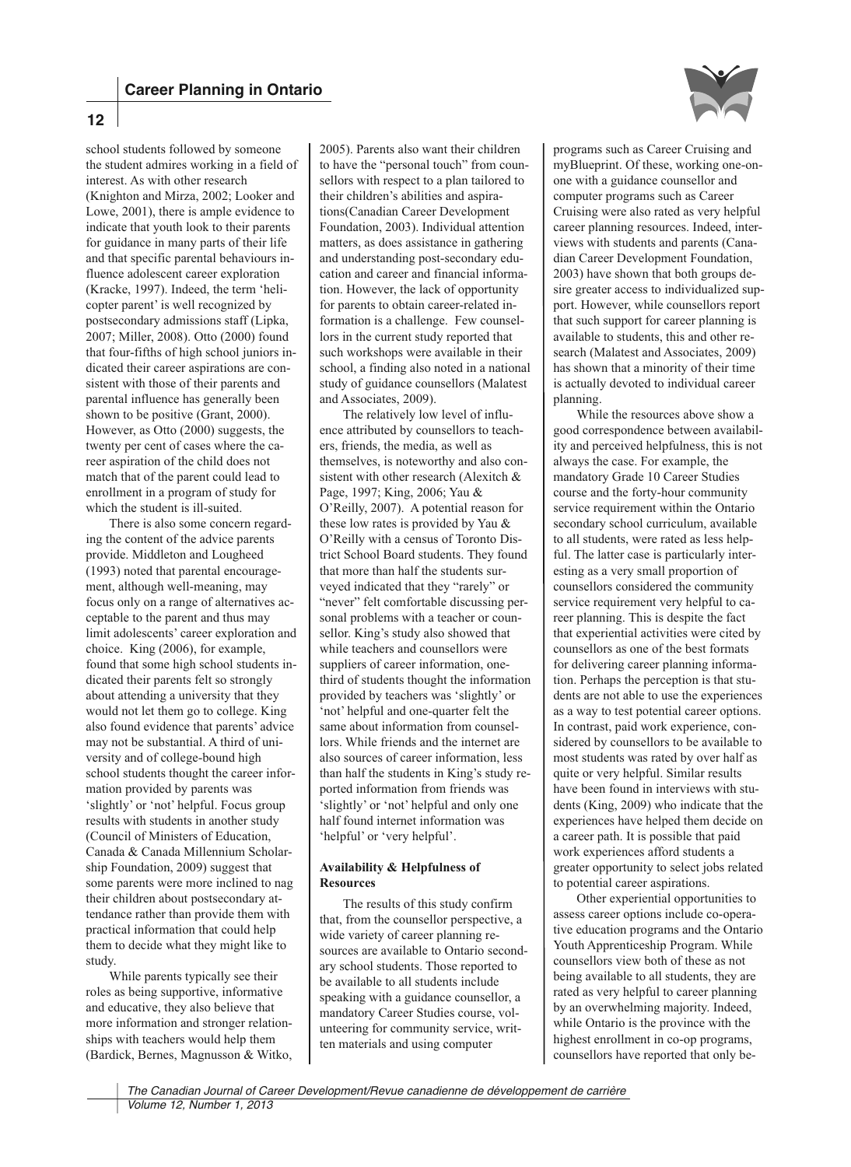**12**



school students followed by someone the student admires working in a field of interest. As with other research (Knighton and Mirza, 2002; Looker and Lowe, 2001), there is ample evidence to indicate that youth look to their parents for guidance in many parts of their life and that specific parental behaviours influence adolescent career exploration (Kracke, 1997). Indeed, the term 'helicopter parent' is well recognized by postsecondary admissions staff (Lipka, 2007; Miller, 2008). Otto (2000) found that four-fifths of high school juniors indicated their career aspirations are consistent with those of their parents and parental influence has generally been shown to be positive (Grant, 2000). However, as Otto (2000) suggests, the twenty per cent of cases where the career aspiration of the child does not match that of the parent could lead to enrollment in a program of study for which the student is ill-suited.

There is also some concern regarding the content of the advice parents provide. Middleton and Lougheed (1993) noted that parental encouragement, although well-meaning, may focus only on a range of alternatives acceptable to the parent and thus may limit adolescents' career exploration and choice. King (2006), for example, found that some high school students indicated their parents felt so strongly about attending a university that they would not let them go to college. King also found evidence that parents' advice may not be substantial. A third of university and of college-bound high school students thought the career information provided by parents was 'slightly' or 'not' helpful. Focus group results with students in another study (Council of Ministers of Education, Canada & Canada Millennium Scholarship Foundation, 2009) suggest that some parents were more inclined to nag their children about postsecondary attendance rather than provide them with practical information that could help them to decide what they might like to study.

While parents typically see their roles as being supportive, informative and educative, they also believe that more information and stronger relationships with teachers would help them (Bardick, Bernes, Magnusson & Witko,

2005). Parents also want their children to have the "personal touch" from counsellors with respect to a plan tailored to their children's abilities and aspirations(Canadian Career Development Foundation, 2003). Individual attention matters, as does assistance in gathering and understanding post-secondary education and career and financial information. However, the lack of opportunity for parents to obtain career-related information is a challenge. Few counsellors in the current study reported that such workshops were available in their school, a finding also noted in a national study of guidance counsellors (Malatest and Associates, 2009).

The relatively low level of influence attributed by counsellors to teachers, friends, the media, as well as themselves, is noteworthy and also consistent with other research (Alexitch & Page, 1997; King, 2006; Yau & O'Reilly, 2007). A potential reason for these low rates is provided by Yau & O'Reilly with a census of Toronto District School Board students. They found that more than half the students surveyed indicated that they "rarely" or "never" felt comfortable discussing personal problems with a teacher or counsellor. King's study also showed that while teachers and counsellors were suppliers of career information, onethird of students thought the information provided by teachers was 'slightly' or 'not' helpful and one-quarter felt the same about information from counsellors. While friends and the internet are also sources of career information, less than half the students in King's study reported information from friends was 'slightly' or 'not' helpful and only one half found internet information was 'helpful' or 'very helpful'.

# **Availability & Helpfulness of Resources**

The results of this study confirm that, from the counsellor perspective, a wide variety of career planning resources are available to Ontario secondary school students. Those reported to be available to all students include speaking with a guidance counsellor, a mandatory Career Studies course, volunteering for community service, written materials and using computer

programs such as Career Cruising and myBlueprint. Of these, working one-onone with a guidance counsellor and computer programs such as Career Cruising were also rated as very helpful career planning resources. Indeed, interviews with students and parents (Canadian Career Development Foundation, 2003) have shown that both groups desire greater access to individualized support. However, while counsellors report that such support for career planning is available to students, this and other research (Malatest and Associates, 2009) has shown that a minority of their time is actually devoted to individual career planning.

While the resources above show a good correspondence between availability and perceived helpfulness, this is not always the case. For example, the mandatory Grade 10 Career Studies course and the forty-hour community service requirement within the Ontario secondary school curriculum, available to all students, were rated as less helpful. The latter case is particularly interesting as a very small proportion of counsellors considered the community service requirement very helpful to career planning. This is despite the fact that experiential activities were cited by counsellors as one of the best formats for delivering career planning information. Perhaps the perception is that students are not able to use the experiences as a way to test potential career options. In contrast, paid work experience, considered by counsellors to be available to most students was rated by over half as quite or very helpful. Similar results have been found in interviews with students (King, 2009) who indicate that the experiences have helped them decide on a career path. It is possible that paid work experiences afford students a greater opportunity to select jobs related to potential career aspirations.

Other experiential opportunities to assess career options include co-operative education programs and the Ontario Youth Apprenticeship Program. While counsellors view both of these as not being available to all students, they are rated as very helpful to career planning by an overwhelming majority. Indeed, while Ontario is the province with the highest enrollment in co-op programs, counsellors have reported that only be-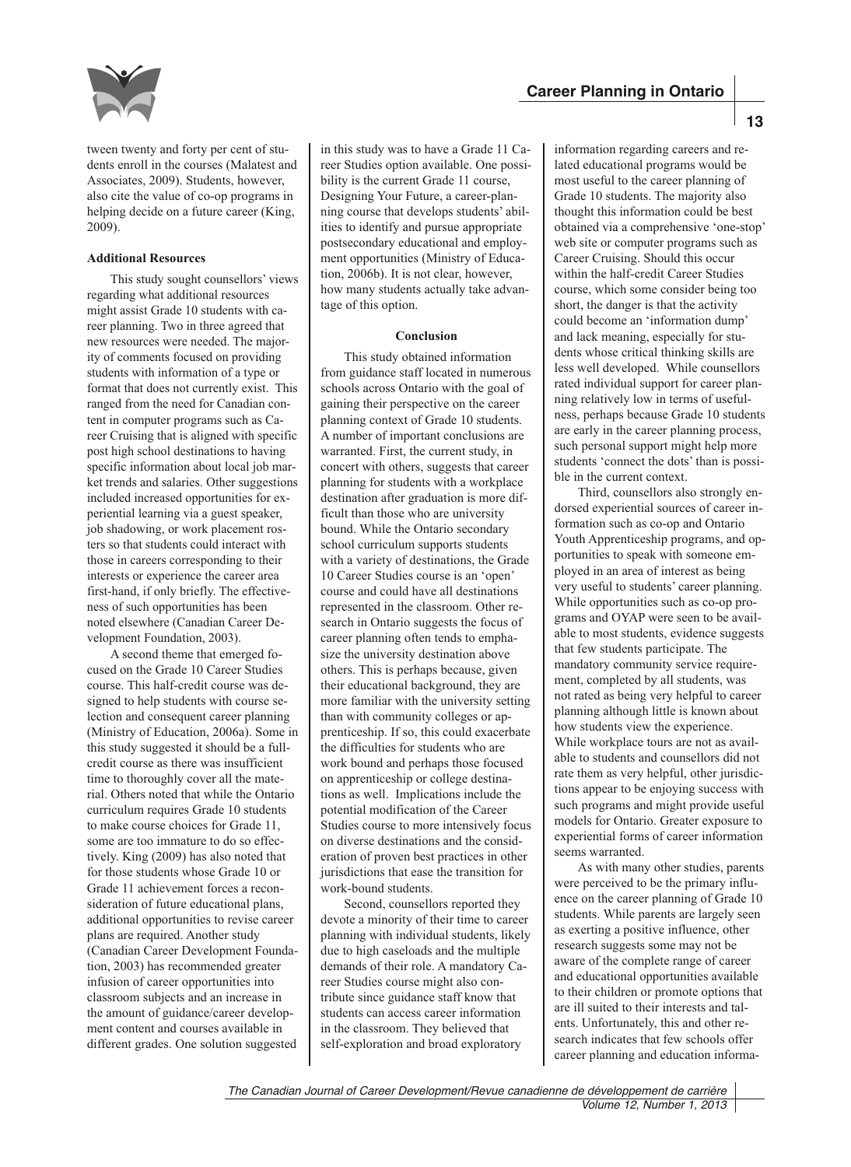

tween twenty and forty per cent of students enroll in the courses (Malatest and Associates, 2009). Students, however, also cite the value of co-op programs in helping decide on a future career (King, 2009).

# **Additional Resources**

This study sought counsellors' views regarding what additional resources might assist Grade 10 students with career planning. Two in three agreed that new resources were needed. The majority of comments focused on providing students with information of a type or format that does not currently exist. This ranged from the need for Canadian content in computer programs such as Career Cruising that is aligned with specific post high school destinations to having specific information about local job market trends and salaries. Other suggestions included increased opportunities for experiential learning via a guest speaker, job shadowing, or work placement rosters so that students could interact with those in careers corresponding to their interests or experience the career area first-hand, if only briefly. The effectiveness of such opportunities has been noted elsewhere (Canadian Career Development Foundation, 2003).

A second theme that emerged focused on the Grade 10 Career Studies course. This half-credit course was designed to help students with course selection and consequent career planning (Ministry of Education, 2006a). Some in this study suggested it should be a fullcredit course as there was insufficient time to thoroughly cover all the material. Others noted that while the Ontario curriculum requires Grade 10 students to make course choices for Grade 11, some are too immature to do so effectively. King (2009) has also noted that for those students whose Grade 10 or Grade 11 achievement forces a reconsideration of future educational plans, additional opportunities to revise career plans are required. Another study (Canadian Career Development Foundation, 2003) has recommended greater infusion of career opportunities into classroom subjects and an increase in the amount of guidance/career development content and courses available in different grades. One solution suggested

in this study was to have a Grade 11 Career Studies option available. One possibility is the current Grade 11 course, Designing Your Future, a career-planning course that develops students' abilities to identify and pursue appropriate postsecondary educational and employment opportunities (Ministry of Education, 2006b). It is not clear, however, how many students actually take advantage of this option.

## **Conclusion**

This study obtained information from guidance staff located in numerous schools across Ontario with the goal of gaining their perspective on the career planning context of Grade 10 students. A number of important conclusions are warranted. First, the current study, in concert with others, suggests that career planning for students with a workplace destination after graduation is more difficult than those who are university bound. While the Ontario secondary school curriculum supports students with a variety of destinations, the Grade 10 Career Studies course is an 'open' course and could have all destinations represented in the classroom. Other research in Ontario suggests the focus of career planning often tends to emphasize the university destination above others. This is perhaps because, given their educational background, they are more familiar with the university setting than with community colleges or apprenticeship. If so, this could exacerbate the difficulties for students who are work bound and perhaps those focused on apprenticeship or college destinations as well. Implications include the potential modification of the Career Studies course to more intensively focus on diverse destinations and the consideration of proven best practices in other jurisdictions that ease the transition for work-bound students.

Second, counsellors reported they devote a minority of their time to career planning with individual students, likely due to high caseloads and the multiple demands of their role. A mandatory Career Studies course might also contribute since guidance staff know that students can access career information in the classroom. They believed that self-exploration and broad exploratory

information regarding careers and related educational programs would be most useful to the career planning of Grade 10 students. The majority also thought this information could be best obtained via a comprehensive 'one-stop' web site or computer programs such as Career Cruising. Should this occur within the half-credit Career Studies course, which some consider being too short, the danger is that the activity could become an 'information dump' and lack meaning, especially for students whose critical thinking skills are less well developed. While counsellors rated individual support for career planning relatively low in terms of usefulness, perhaps because Grade 10 students are early in the career planning process, such personal support might help more students 'connect the dots' than is possible in the current context.

Third, counsellors also strongly endorsed experiential sources of career information such as co-op and Ontario Youth Apprenticeship programs, and opportunities to speak with someone employed in an area of interest as being very useful to students' career planning. While opportunities such as co-op programs and OYAP were seen to be available to most students, evidence suggests that few students participate. The mandatory community service requirement, completed by all students, was not rated as being very helpful to career planning although little is known about how students view the experience. While workplace tours are not as available to students and counsellors did not rate them as very helpful, other jurisdictions appear to be enjoying success with such programs and might provide useful models for Ontario. Greater exposure to experiential forms of career information seems warranted.

As with many other studies, parents were perceived to be the primary influence on the career planning of Grade 10 students. While parents are largely seen as exerting a positive influence, other research suggests some may not be aware of the complete range of career and educational opportunities available to their children or promote options that are ill suited to their interests and talents. Unfortunately, this and other research indicates that few schools offer career planning and education informa-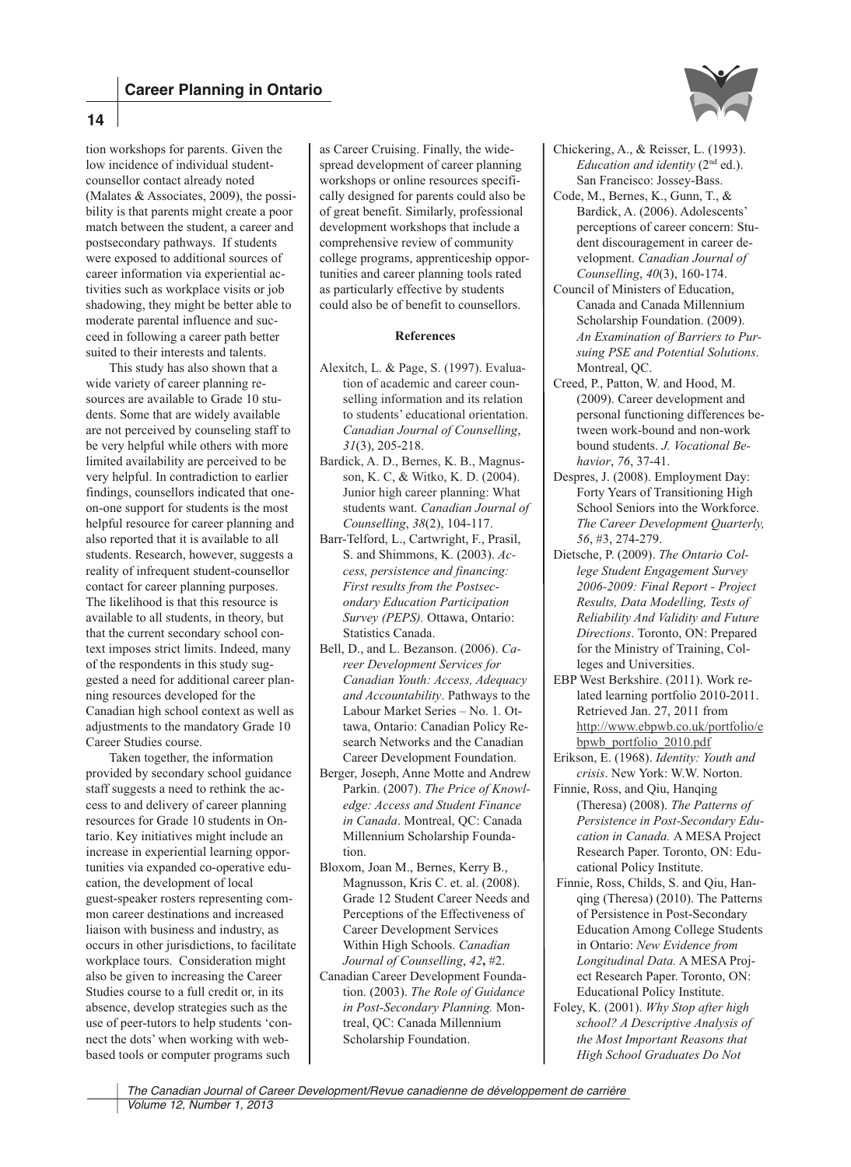

tion workshops for parents. Given the low incidence of individual studentcounsellor contact already noted (Malates & Associates, 2009), the possibility is that parents might create a poor match between the student, a career and postsecondary pathways. If students were exposed to additional sources of career information via experiential activities such as workplace visits or job shadowing, they might be better able to moderate parental influence and succeed in following a career path better suited to their interests and talents.

**14**

This study has also shown that a wide variety of career planning resources are available to Grade 10 students. Some that are widely available are not perceived by counseling staff to be very helpful while others with more limited availability are perceived to be very helpful. In contradiction to earlier findings, counsellors indicated that oneon-one support for students is the most helpful resource for career planning and also reported that it is available to all students. Research, however, suggests a reality of infrequent student-counsellor contact for career planning purposes. The likelihood is that this resource is available to all students, in theory, but that the current secondary school context imposes strict limits. Indeed, many of the respondents in this study suggested a need for additional career planning resources developed for the Canadian high school context as well as adjustments to the mandatory Grade 10 Career Studies course.

Taken together, the information provided by secondary school guidance staff suggests a need to rethink the access to and delivery of career planning resources for Grade 10 students in Ontario. Key initiatives might include an increase in experiential learning opportunities via expanded co-operative education, the development of local guest-speaker rosters representing common career destinations and increased liaison with business and industry, as occurs in other jurisdictions, to facilitate workplace tours. Consideration might also be given to increasing the Career Studies course to a full credit or, in its absence, develop strategies such as the use of peer-tutors to help students 'connect the dots' when working with webbased tools or computer programs such

as Career Cruising. Finally, the widespread development of career planning workshops or online resources specifically designed for parents could also be of great benefit. Similarly, professional development workshops that include a comprehensive review of community college programs, apprenticeship opportunities and career planning tools rated as particularly effective by students could also be of benefit to counsellors.

## **References**

- Alexitch, L. & Page, S. (1997). Evaluation of academic and career counselling information and its relation to students' educational orientation. *Canadian Journal of Counselling*, *31*(3), 205-218.
- Bardick, A. D., Bernes, K. B., Magnusson, K. C, & Witko, K. D. (2004). Junior high career planning: What students want. *Canadian Journal of Counselling*, *38*(2), 104-117.
- Barr-Telford, L., Cartwright, F., Prasil, S. and Shimmons, K. (2003). *Access, persistence and financing: First results from the Postsecondary Education Participation Survey (PEPS).* Ottawa, Ontario: Statistics Canada.
- Bell, D., and L. Bezanson. (2006). *Career Development Services for Canadian Youth: Access, Adequacy and Accountability*. Pathways to the Labour Market Series – No. 1*.* Ottawa, Ontario: Canadian Policy Research Networks and the Canadian Career Development Foundation.
- Berger, Joseph, Anne Motte and Andrew Parkin. (2007). *The Price of Knowledge: Access and Student Finance in Canada*. Montreal, QC: Canada Millennium Scholarship Foundation.
- Bloxom, Joan M., Bernes, Kerry B., Magnusson, Kris C. et. al. (2008). Grade 12 Student Career Needs and Perceptions of the Effectiveness of Career Development Services Within High Schools. *Canadian Journal of Counselling*, *42***,** #2.
- Canadian Career Development Foundation. (2003). *The Role of Guidance in Post-Secondary Planning.* Montreal, QC: Canada Millennium Scholarship Foundation.
- Chickering, A., & Reisser, L. (1993). *Education and identity* (2<sup>nd</sup> ed.). San Francisco: Jossey-Bass.
- Code, M., Bernes, K., Gunn, T., & Bardick, A. (2006). Adolescents' perceptions of career concern: Student discouragement in career development. *Canadian Journal of Counselling*, *40*(3), 160-174.
- Council of Ministers of Education, Canada and Canada Millennium Scholarship Foundation. (2009). *An Examination of Barriers to Pursuing PSE and Potential Solutions*. Montreal, QC.
- Creed, P., Patton, W. and Hood, M. (2009). Career development and personal functioning differences between work-bound and non-work bound students. *J. Vocational Behavior*, *76*, 37-41.
- Despres, J. (2008). Employment Day: Forty Years of Transitioning High School Seniors into the Workforce. *The Career Development Quarterly, 56*, #3, 274-279.
- Dietsche, P. (2009). *The Ontario College Student Engagement Survey 2006-2009: Final Report - Project Results, Data Modelling, Tests of Reliability And Validity and Future Directions*. Toronto, ON: Prepared for the Ministry of Training, Colleges and Universities.
- EBP West Berkshire. (2011). Work related learning portfolio 2010-2011. Retrieved Jan. 27, 2011 from http://www.ebpwb.co.uk/portfolio/e bpwb\_portfolio\_2010.pdf
- Erikson, E. (1968). *Identity: Youth and crisis*. New York: W.W. Norton.
- Finnie, Ross, and Qiu, Hanqing (Theresa) (2008). *The Patterns of Persistence in Post-Secondary Education in Canada.* A MESA Project Research Paper. Toronto, ON: Educational Policy Institute.
- Finnie, Ross, Childs, S. and Qiu, Hanqing (Theresa) (2010). The Patterns of Persistence in Post-Secondary Education Among College Students in Ontario: *New Evidence from Longitudinal Data.* A MESA Project Research Paper. Toronto, ON: Educational Policy Institute.
- Foley, K. (2001). *Why Stop after high school? A Descriptive Analysis of the Most Important Reasons that High School Graduates Do Not*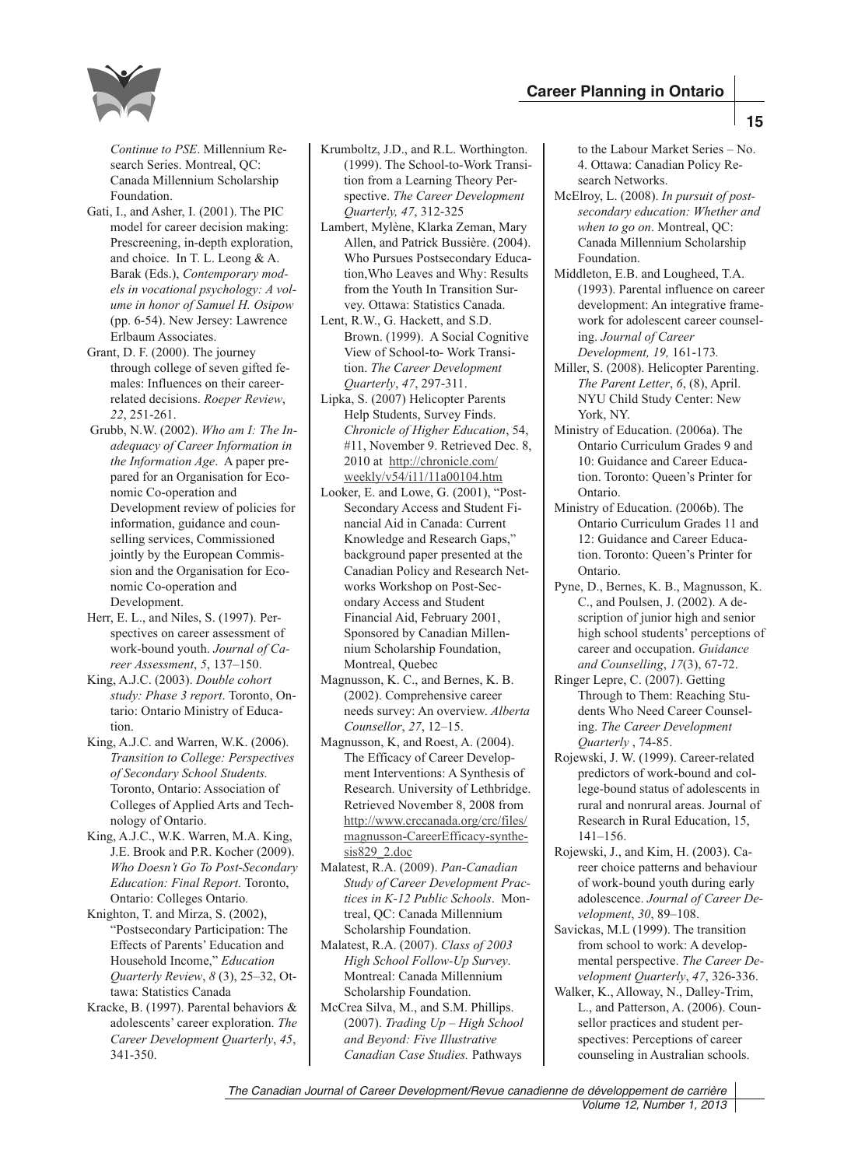

*Continue to PSE*. Millennium Research Series. Montreal, QC: Canada Millennium Scholarship Foundation.

- Gati, I., and Asher, I. (2001). The PIC model for career decision making: Prescreening, in-depth exploration, and choice. In T. L. Leong & A. Barak (Eds.), *Contemporary models in vocational psychology: A volume in honor of Samuel H. Osipow* (pp. 6-54). New Jersey: Lawrence Erlbaum Associates.
- Grant, D. F. (2000). The journey through college of seven gifted females: Influences on their careerrelated decisions. *Roeper Review*, *22*, 251-261.
- Grubb, N.W. (2002). *Who am I: The Inadequacy of Career Information in the Information Age*. A paper prepared for an Organisation for Economic Co-operation and Development review of policies for information, guidance and counselling services, Commissioned jointly by the European Commission and the Organisation for Economic Co-operation and Development.
- Herr, E. L., and Niles, S. (1997). Perspectives on career assessment of work-bound youth. *Journal of Career Assessment*, *5*, 137–150.
- King, A.J.C. (2003). *Double cohort study: Phase 3 report*. Toronto, Ontario: Ontario Ministry of Education.
- King, A.J.C. and Warren, W.K. (2006). *Transition to College: Perspectives of Secondary School Students.* Toronto, Ontario: Association of Colleges of Applied Arts and Technology of Ontario.
- King, A.J.C., W.K. Warren, M.A. King, J.E. Brook and P.R. Kocher (2009). *Who Doesn't Go To Post-Secondary Education: Final Report.* Toronto, Ontario: Colleges Ontario*.*
- Knighton, T. and Mirza, S. (2002), "Postsecondary Participation: The Effects of Parents' Education and Household Income," *Education Quarterly Review*, *8* (3), 25–32, Ottawa: Statistics Canada
- Kracke, B. (1997). Parental behaviors & adolescents' career exploration. *The Career Development Quarterly*, *45*, 341-350.
- Krumboltz, J.D., and R.L. Worthington. (1999). The School-to-Work Transition from a Learning Theory Perspective. *The Career Development Quarterly, 47*, 312-325
- Lambert, Mylène, Klarka Zeman, Mary Allen, and Patrick Bussière. (2004). Who Pursues Postsecondary Education,Who Leaves and Why: Results from the Youth In Transition Survey. Ottawa: Statistics Canada.
- Lent, R.W., G. Hackett, and S.D. Brown. (1999). A Social Cognitive View of School-to- Work Transition. *The Career Development Quarterly*, *47*, 297-311.
- Lipka, S. (2007) Helicopter Parents Help Students, Survey Finds. *Chronicle of Higher Education*, 54, #11, November 9. Retrieved Dec. 8, 2010 at http://chronicle.com/ weekly/v54/i11/11a00104.htm
- Looker, E. and Lowe, G. (2001), "Post-Secondary Access and Student Financial Aid in Canada: Current Knowledge and Research Gaps," background paper presented at the Canadian Policy and Research Networks Workshop on Post-Secondary Access and Student Financial Aid, February 2001, Sponsored by Canadian Millennium Scholarship Foundation, Montreal, Quebec
- Magnusson, K. C., and Bernes, K. B. (2002). Comprehensive career needs survey: An overview. *Alberta Counsellor*, *27*, 12–15.
- Magnusson, K, and Roest, A. (2004). The Efficacy of Career Development Interventions: A Synthesis of Research. University of Lethbridge. Retrieved November 8, 2008 from http://www.crccanada.org/crc/files/ magnusson-CareerEfficacy-synthesis829\_2.doc
- Malatest, R.A. (2009). *Pan-Canadian Study of Career Development Practices in K-12 Public Schools*. Montreal, QC: Canada Millennium Scholarship Foundation.
- Malatest, R.A. (2007). *Class of 2003 High School Follow-Up Survey*. Montreal: Canada Millennium Scholarship Foundation.
- McCrea Silva, M., and S.M. Phillips. (2007). *Trading Up – High School and Beyond: Five Illustrative Canadian Case Studies.* Pathways

to the Labour Market Series – No. 4. Ottawa: Canadian Policy Research Networks.

- McElroy, L. (2008). *In pursuit of postsecondary education: Whether and when to go on*. Montreal, QC: Canada Millennium Scholarship Foundation.
- Middleton, E.B. and Lougheed, T.A. (1993). Parental influence on career development: An integrative framework for adolescent career counseling. *Journal of Career Development, 19,* 161-173*.*
- Miller, S. (2008). Helicopter Parenting. *The Parent Letter*, *6*, (8), April. NYU Child Study Center: New York, NY.
- Ministry of Education. (2006a). The Ontario Curriculum Grades 9 and 10: Guidance and Career Education. Toronto: Queen's Printer for Ontario.
- Ministry of Education. (2006b). The Ontario Curriculum Grades 11 and 12: Guidance and Career Education. Toronto: Queen's Printer for Ontario.
- Pyne, D., Bernes, K. B., Magnusson, K. C., and Poulsen, J. (2002). A description of junior high and senior high school students' perceptions of career and occupation. *Guidance and Counselling*, *17*(3), 67-72.
- Ringer Lepre, C. (2007). Getting Through to Them: Reaching Students Who Need Career Counseling. *The Career Development Quarterly* , 74-85.
- Rojewski, J. W. (1999). Career-related predictors of work-bound and college-bound status of adolescents in rural and nonrural areas. Journal of Research in Rural Education, 15, 141–156.
- Rojewski, J., and Kim, H. (2003). Career choice patterns and behaviour of work-bound youth during early adolescence. *Journal of Career Development*, *30*, 89–108.
- Savickas, M.L (1999). The transition from school to work: A developmental perspective. *The Career Development Quarterly*, *47*, 326-336.
- Walker, K., Alloway, N., Dalley-Trim, L., and Patterson, A. (2006). Counsellor practices and student perspectives: Perceptions of career counseling in Australian schools.

*The Canadian Journal of Career Development/Revue canadienne de développement de carrière*